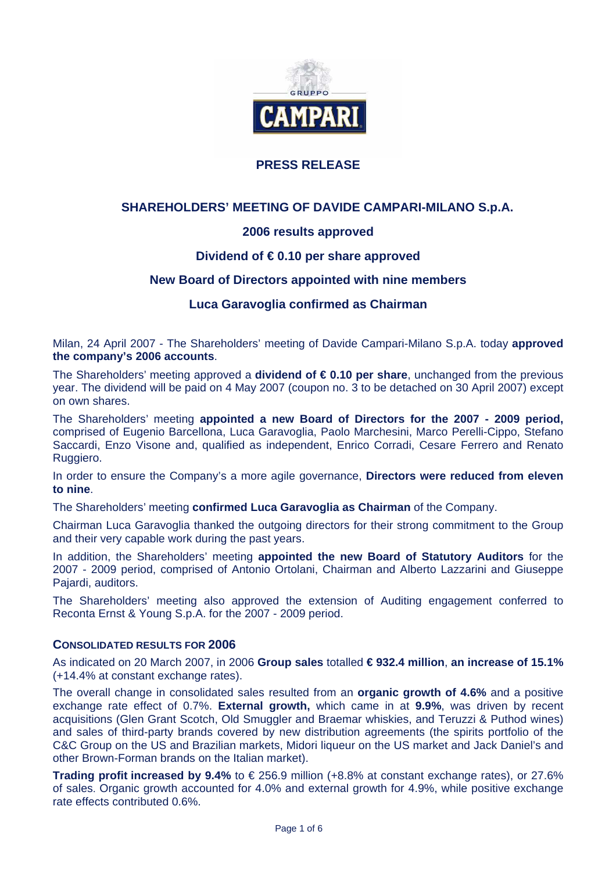

# **PRESS RELEASE**

# **SHAREHOLDERS' MEETING OF DAVIDE CAMPARI-MILANO S.p.A.**

# **2006 results approved**

# **Dividend of € 0.10 per share approved**

### **New Board of Directors appointed with nine members**

### **Luca Garavoglia confirmed as Chairman**

Milan, 24 April 2007 - The Shareholders' meeting of Davide Campari-Milano S.p.A. today **approved the company's 2006 accounts**.

The Shareholders' meeting approved a **dividend of € 0.10 per share**, unchanged from the previous year. The dividend will be paid on 4 May 2007 (coupon no. 3 to be detached on 30 April 2007) except on own shares.

The Shareholders' meeting **appointed a new Board of Directors for the 2007 - 2009 period,**  comprised of Eugenio Barcellona, Luca Garavoglia, Paolo Marchesini, Marco Perelli-Cippo, Stefano Saccardi, Enzo Visone and, qualified as independent, Enrico Corradi, Cesare Ferrero and Renato Ruggiero.

In order to ensure the Company's a more agile governance, **Directors were reduced from eleven to nine**.

The Shareholders' meeting **confirmed Luca Garavoglia as Chairman** of the Company.

Chairman Luca Garavoglia thanked the outgoing directors for their strong commitment to the Group and their very capable work during the past years.

In addition, the Shareholders' meeting **appointed the new Board of Statutory Auditors** for the 2007 - 2009 period, comprised of Antonio Ortolani, Chairman and Alberto Lazzarini and Giuseppe Pajardi, auditors.

The Shareholders' meeting also approved the extension of Auditing engagement conferred to Reconta Ernst & Young S.p.A. for the 2007 - 2009 period.

#### **CONSOLIDATED RESULTS FOR 2006**

As indicated on 20 March 2007, in 2006 **Group sales** totalled **€ 932.4 million**, **an increase of 15.1%** (+14.4% at constant exchange rates).

The overall change in consolidated sales resulted from an **organic growth of 4.6%** and a positive exchange rate effect of 0.7%. **External growth,** which came in at **9.9%**, was driven by recent acquisitions (Glen Grant Scotch, Old Smuggler and Braemar whiskies, and Teruzzi & Puthod wines) and sales of third-party brands covered by new distribution agreements (the spirits portfolio of the C&C Group on the US and Brazilian markets, Midori liqueur on the US market and Jack Daniel's and other Brown-Forman brands on the Italian market).

**Trading profit increased by 9.4%** to € 256.9 million (+8.8% at constant exchange rates), or 27.6% of sales. Organic growth accounted for 4.0% and external growth for 4.9%, while positive exchange rate effects contributed 0.6%.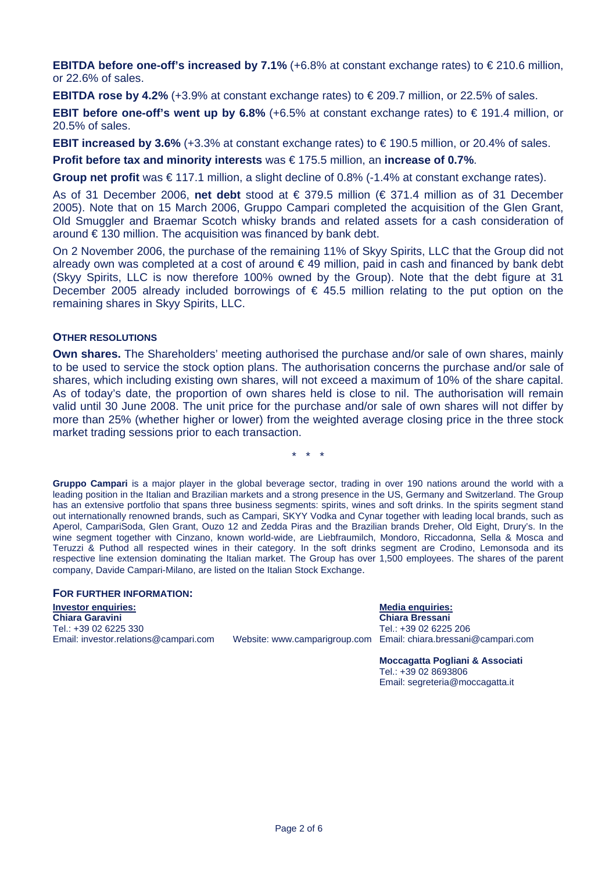**EBITDA before one-off's increased by 7.1%** (+6.8% at constant exchange rates) to  $\in$  210.6 million, or 22.6% of sales.

**EBITDA rose by 4.2%** (+3.9% at constant exchange rates) to  $\epsilon$  209.7 million, or 22.5% of sales.

**EBIT before one-off's went up by 6.8%** (+6.5% at constant exchange rates) to  $\in$  191.4 million, or 20.5% of sales.

**EBIT increased by 3.6%** (+3.3% at constant exchange rates) to  $\in$  190.5 million, or 20.4% of sales.

**Profit before tax and minority interests** was € 175.5 million, an **increase of 0.7%**.

**Group net profit** was € 117.1 million, a slight decline of 0.8% (-1.4% at constant exchange rates).

As of 31 December 2006, **net debt** stood at € 379.5 million (€ 371.4 million as of 31 December 2005). Note that on 15 March 2006, Gruppo Campari completed the acquisition of the Glen Grant, Old Smuggler and Braemar Scotch whisky brands and related assets for a cash consideration of around  $\epsilon$  130 million. The acquisition was financed by bank debt.

On 2 November 2006, the purchase of the remaining 11% of Skyy Spirits, LLC that the Group did not already own was completed at a cost of around  $\epsilon$  49 million, paid in cash and financed by bank debt (Skyy Spirits, LLC is now therefore 100% owned by the Group). Note that the debt figure at 31 December 2005 already included borrowings of  $\epsilon$  45.5 million relating to the put option on the remaining shares in Skyy Spirits, LLC.

#### **OTHER RESOLUTIONS**

**Own shares.** The Shareholders' meeting authorised the purchase and/or sale of own shares, mainly to be used to service the stock option plans. The authorisation concerns the purchase and/or sale of shares, which including existing own shares, will not exceed a maximum of 10% of the share capital. As of today's date, the proportion of own shares held is close to nil. The authorisation will remain valid until 30 June 2008. The unit price for the purchase and/or sale of own shares will not differ by more than 25% (whether higher or lower) from the weighted average closing price in the three stock market trading sessions prior to each transaction.

\* \* \*

**Gruppo Campari** is a major player in the global beverage sector, trading in over 190 nations around the world with a leading position in the Italian and Brazilian markets and a strong presence in the US, Germany and Switzerland. The Group has an extensive portfolio that spans three business segments: spirits, wines and soft drinks. In the spirits segment stand out internationally renowned brands, such as Campari, SKYY Vodka and Cynar together with leading local brands, such as Aperol, CampariSoda, Glen Grant, Ouzo 12 and Zedda Piras and the Brazilian brands Dreher, Old Eight, Drury's. In the wine segment together with Cinzano, known world-wide, are Liebfraumilch, Mondoro, Riccadonna, Sella & Mosca and Teruzzi & Puthod all respected wines in their category. In the soft drinks segment are Crodino, Lemonsoda and its respective line extension dominating the Italian market. The Group has over 1,500 employees. The shares of the parent company, Davide Campari-Milano, are listed on the Italian Stock Exchange.

#### **FOR FURTHER INFORMATION:**

**Investor enquiries:** Media enquiries: Media enquiries: Media enquiries: Media enquiries: Media enquiries: Media enquiries: Media enquiries: Media enquiries: Media enquiries: Media enquiries: Media enquiries: Media enquiri **Chiara Garavini Chiara Bressani**  Tel.: +39 02 6225 330 Tel.: +39 02 6225 206 Email: investor.relations@campari.com Website: www.camparigroup.com Email: chiara.bressani@campari.com

**Moccagatta Pogliani & Associati**  Tel.: +39 02 8693806 Email: segreteria@moccagatta.it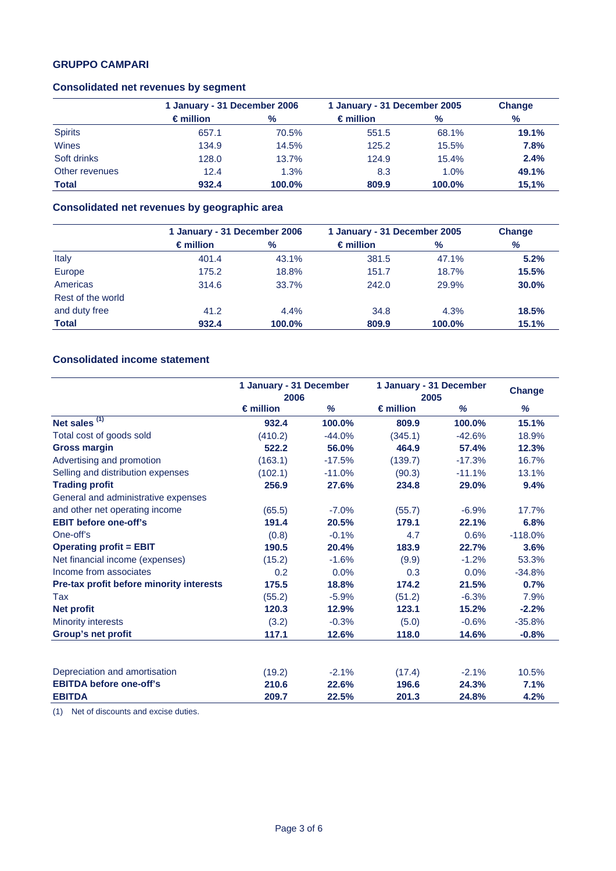# **GRUPPO CAMPARI**

#### **Consolidated net revenues by segment**

|                |                    | 1 January - 31 December 2006 |                    | 1 January - 31 December 2005 |       |
|----------------|--------------------|------------------------------|--------------------|------------------------------|-------|
|                | $\epsilon$ million | $\frac{9}{6}$                | $\epsilon$ million | $\%$                         | $\%$  |
| <b>Spirits</b> | 657.1              | 70.5%                        | 551.5              | 68.1%                        | 19.1% |
| Wines          | 134.9              | 14.5%                        | 125.2              | 15.5%                        | 7.8%  |
| Soft drinks    | 128.0              | 13.7%                        | 124.9              | 15.4%                        | 2.4%  |
| Other revenues | 12.4               | 1.3%                         | 8.3                | 1.0%                         | 49.1% |
| <b>Total</b>   | 932.4              | 100.0%                       | 809.9              | 100.0%                       | 15,1% |

# **Consolidated net revenues by geographic area**

|                   | 1 January - 31 December 2006 |        | 1 January - 31 December 2005 |        | <b>Change</b> |
|-------------------|------------------------------|--------|------------------------------|--------|---------------|
|                   | $\epsilon$ million           | $\%$   | $\epsilon$ million           | %      | %             |
| Italy             | 401.4                        | 43.1%  | 381.5                        | 47.1%  | 5.2%          |
| Europe            | 175.2                        | 18.8%  | 151.7                        | 18.7%  | 15.5%         |
| Americas          | 314.6                        | 33.7%  | 242.0                        | 29.9%  | 30.0%         |
| Rest of the world |                              |        |                              |        |               |
| and duty free     | 41.2                         | 4.4%   | 34.8                         | 4.3%   | 18.5%         |
| <b>Total</b>      | 932.4                        | 100.0% | 809.9                        | 100.0% | 15.1%         |

# **Consolidated income statement**

|                                          | 1 January - 31 December<br>2006 |          | 1 January - 31 December<br>2005 |          | <b>Change</b> |
|------------------------------------------|---------------------------------|----------|---------------------------------|----------|---------------|
|                                          | $\epsilon$ million              | %        | $\epsilon$ million              | %        | %             |
| Net sales $(1)$                          | 932.4                           | 100.0%   | 809.9                           | 100.0%   | 15.1%         |
| Total cost of goods sold                 | (410.2)                         | $-44.0%$ | (345.1)                         | $-42.6%$ | 18.9%         |
| <b>Gross margin</b>                      | 522.2                           | 56.0%    | 464.9                           | 57.4%    | 12.3%         |
| Advertising and promotion                | (163.1)                         | $-17.5%$ | (139.7)                         | $-17.3%$ | 16.7%         |
| Selling and distribution expenses        | (102.1)                         | $-11.0%$ | (90.3)                          | $-11.1%$ | 13.1%         |
| <b>Trading profit</b>                    | 256.9                           | 27.6%    | 234.8                           | 29.0%    | 9.4%          |
| General and administrative expenses      |                                 |          |                                 |          |               |
| and other net operating income           | (65.5)                          | $-7.0%$  | (55.7)                          | $-6.9%$  | 17.7%         |
| <b>EBIT before one-off's</b>             | 191.4                           | 20.5%    | 179.1                           | 22.1%    | 6.8%          |
| One-off's                                | (0.8)                           | $-0.1%$  | 4.7                             | 0.6%     | $-118.0%$     |
| <b>Operating profit = EBIT</b>           | 190.5                           | 20.4%    | 183.9                           | 22.7%    | 3.6%          |
| Net financial income (expenses)          | (15.2)                          | $-1.6%$  | (9.9)                           | $-1.2%$  | 53.3%         |
| Income from associates                   | 0.2                             | 0.0%     | 0.3                             | 0.0%     | $-34.8%$      |
| Pre-tax profit before minority interests | 175.5                           | 18.8%    | 174.2                           | 21.5%    | 0.7%          |
| Tax                                      | (55.2)                          | $-5.9%$  | (51.2)                          | $-6.3%$  | 7.9%          |
| <b>Net profit</b>                        | 120.3                           | 12.9%    | 123.1                           | 15.2%    | $-2.2%$       |
| <b>Minority interests</b>                | (3.2)                           | $-0.3%$  | (5.0)                           | $-0.6%$  | $-35.8%$      |
| Group's net profit                       | 117.1                           | 12.6%    | 118.0                           | 14.6%    | $-0.8%$       |
|                                          |                                 |          |                                 |          |               |
| Depreciation and amortisation            | (19.2)                          | $-2.1%$  | (17.4)                          | $-2.1%$  | 10.5%         |
| <b>EBITDA before one-off's</b>           | 210.6                           | 22.6%    | 196.6                           | 24.3%    | 7.1%          |
| <b>EBITDA</b>                            | 209.7                           | 22.5%    | 201.3                           | 24.8%    | 4.2%          |

(1) Net of discounts and excise duties.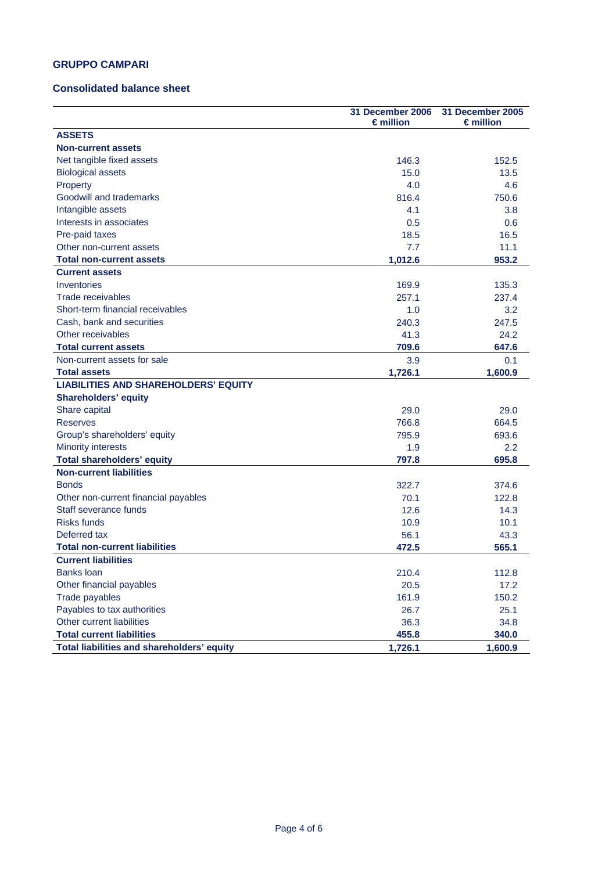### **GRUPPO CAMPARI**

#### **Consolidated balance sheet**

|                                             | 31 December 2006<br>$\epsilon$ million | <b>31 December 2005</b><br>$\epsilon$ million |
|---------------------------------------------|----------------------------------------|-----------------------------------------------|
| <b>ASSETS</b>                               |                                        |                                               |
| <b>Non-current assets</b>                   |                                        |                                               |
| Net tangible fixed assets                   | 146.3                                  | 152.5                                         |
| <b>Biological assets</b>                    | 15.0                                   | 13.5                                          |
| Property                                    | 4.0                                    | 4.6                                           |
| Goodwill and trademarks                     | 816.4                                  | 750.6                                         |
| Intangible assets                           | 4.1                                    | 3.8                                           |
| Interests in associates                     | 0.5                                    | 0.6                                           |
| Pre-paid taxes                              | 18.5                                   | 16.5                                          |
| Other non-current assets                    | 7.7                                    | 11.1                                          |
| <b>Total non-current assets</b>             | 1,012.6                                | 953.2                                         |
| <b>Current assets</b>                       |                                        |                                               |
| Inventories                                 | 169.9                                  | 135.3                                         |
| Trade receivables                           | 257.1                                  | 237.4                                         |
| Short-term financial receivables            | 1.0                                    | 3.2                                           |
| Cash, bank and securities                   | 240.3                                  | 247.5                                         |
| Other receivables                           | 41.3                                   | 24.2                                          |
| <b>Total current assets</b>                 | 709.6                                  | 647.6                                         |
| Non-current assets for sale                 | 3.9                                    | 0.1                                           |
| <b>Total assets</b>                         | 1,726.1                                | 1,600.9                                       |
| <b>LIABILITIES AND SHAREHOLDERS' EQUITY</b> |                                        |                                               |
| <b>Shareholders' equity</b>                 |                                        |                                               |
| Share capital                               | 29.0                                   | 29.0                                          |
| <b>Reserves</b>                             | 766.8                                  | 664.5                                         |
| Group's shareholders' equity                | 795.9                                  | 693.6                                         |
| <b>Minority interests</b>                   | 1.9                                    | $2.2\,$                                       |
| <b>Total shareholders' equity</b>           | 797.8                                  | 695.8                                         |
| <b>Non-current liabilities</b>              |                                        |                                               |
| <b>Bonds</b>                                | 322.7                                  | 374.6                                         |
| Other non-current financial payables        | 70.1                                   | 122.8                                         |
| Staff severance funds                       | 12.6                                   | 14.3                                          |
| <b>Risks funds</b>                          | 10.9                                   | 10.1                                          |
| Deferred tax                                | 56.1                                   | 43.3                                          |
| <b>Total non-current liabilities</b>        | 472.5                                  | 565.1                                         |
| <b>Current liabilities</b>                  |                                        |                                               |
| <b>Banks loan</b>                           | 210.4                                  | 112.8                                         |
| Other financial payables                    | 20.5                                   | 17.2                                          |
| Trade payables                              | 161.9                                  | 150.2                                         |
| Payables to tax authorities                 | 26.7                                   | 25.1                                          |
| Other current liabilities                   | 36.3                                   | 34.8                                          |
| <b>Total current liabilities</b>            | 455.8                                  | 340.0                                         |
| Total liabilities and shareholders' equity  | 1,726.1                                | 1,600.9                                       |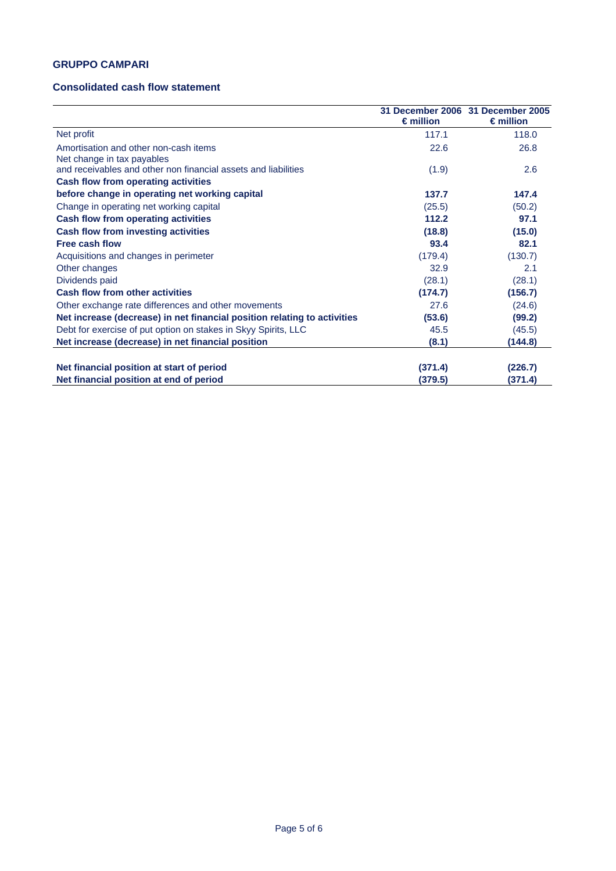# **GRUPPO CAMPARI**

### **Consolidated cash flow statement**

|                                                                          | $\epsilon$ million | 31 December 2006 31 December 2005<br>$\epsilon$ million |
|--------------------------------------------------------------------------|--------------------|---------------------------------------------------------|
| Net profit                                                               | 117.1              | 118.0                                                   |
| Amortisation and other non-cash items<br>Net change in tax payables      | 22.6               | 26.8                                                    |
| and receivables and other non financial assets and liabilities           | (1.9)              | 2.6                                                     |
| Cash flow from operating activities                                      |                    |                                                         |
| before change in operating net working capital                           | 137.7              | 147.4                                                   |
| Change in operating net working capital                                  | (25.5)             | (50.2)                                                  |
| Cash flow from operating activities                                      | 112.2              | 97.1                                                    |
| Cash flow from investing activities                                      | (18.8)             | (15.0)                                                  |
| <b>Free cash flow</b>                                                    | 93.4               | 82.1                                                    |
| Acquisitions and changes in perimeter                                    | (179.4)            | (130.7)                                                 |
| Other changes                                                            | 32.9               | 2.1                                                     |
| Dividends paid                                                           | (28.1)             | (28.1)                                                  |
| <b>Cash flow from other activities</b>                                   | (174.7)            | (156.7)                                                 |
| Other exchange rate differences and other movements                      | 27.6               | (24.6)                                                  |
| Net increase (decrease) in net financial position relating to activities | (53.6)             | (99.2)                                                  |
| Debt for exercise of put option on stakes in Skyy Spirits, LLC           | 45.5               | (45.5)                                                  |
| Net increase (decrease) in net financial position                        | (8.1)              | (144.8)                                                 |
| Net financial position at start of period                                | (371.4)            | (226.7)                                                 |
| Net financial position at end of period                                  | (379.5)            | (371.4)                                                 |